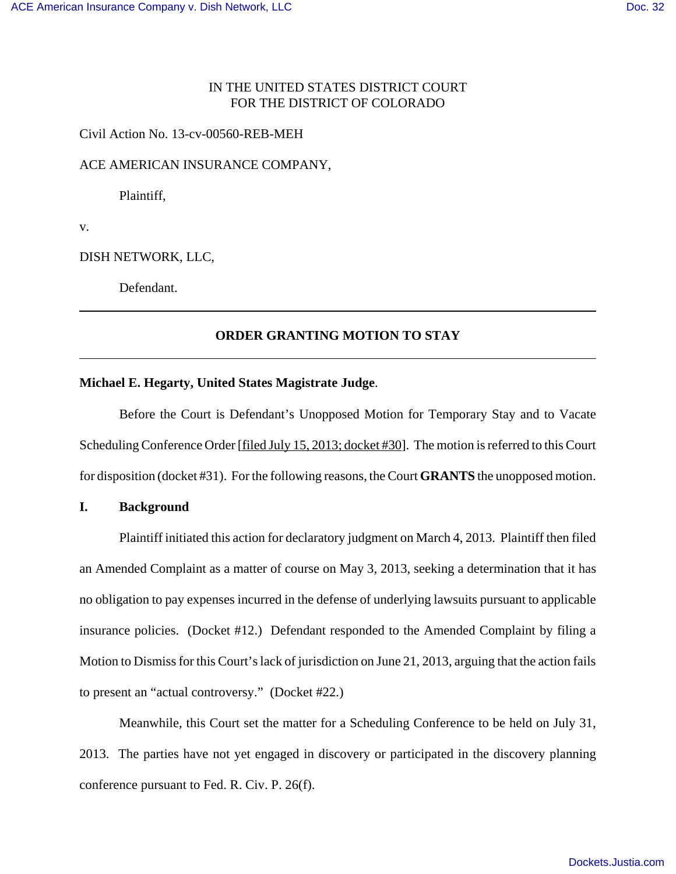# IN THE UNITED STATES DISTRICT COURT FOR THE DISTRICT OF COLORADO

#### Civil Action No. 13-cv-00560-REB-MEH

#### ACE AMERICAN INSURANCE COMPANY,

Plaintiff,

v.

#### DISH NETWORK, LLC,

Defendant.

## **ORDER GRANTING MOTION TO STAY**

#### **Michael E. Hegarty, United States Magistrate Judge**.

Before the Court is Defendant's Unopposed Motion for Temporary Stay and to Vacate Scheduling Conference Order [filed July 15, 2013; docket #30]. The motion is referred to this Court for disposition (docket #31). For the following reasons, the Court **GRANTS** the unopposed motion.

## **I. Background**

Plaintiff initiated this action for declaratory judgment on March 4, 2013. Plaintiff then filed an Amended Complaint as a matter of course on May 3, 2013, seeking a determination that it has no obligation to pay expenses incurred in the defense of underlying lawsuits pursuant to applicable insurance policies. (Docket #12.) Defendant responded to the Amended Complaint by filing a Motion to Dismiss for this Court's lack of jurisdiction on June 21, 2013, arguing that the action fails to present an "actual controversy." (Docket #22.)

Meanwhile, this Court set the matter for a Scheduling Conference to be held on July 31, 2013. The parties have not yet engaged in discovery or participated in the discovery planning conference pursuant to Fed. R. Civ. P. 26(f).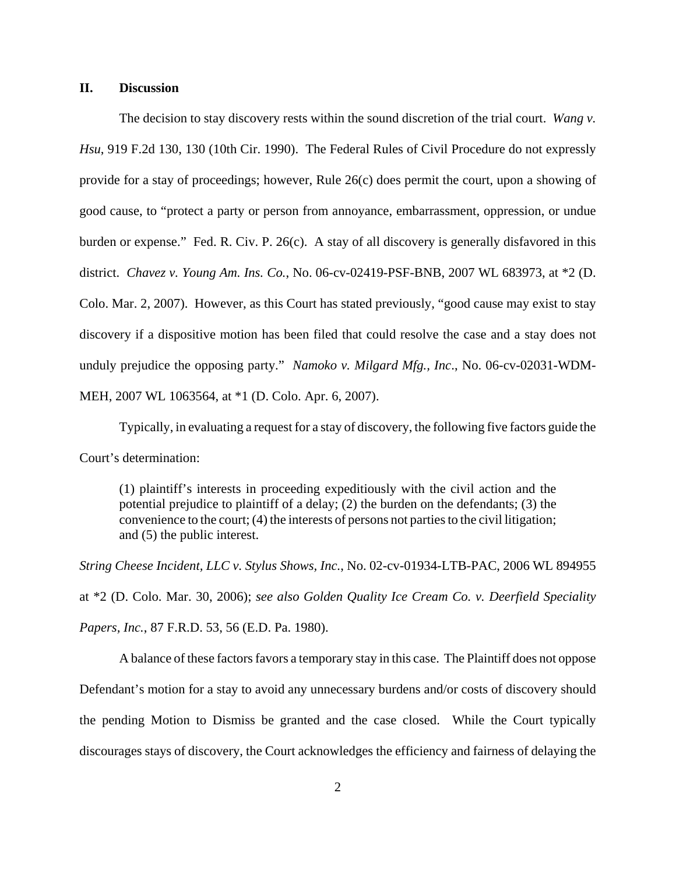## **II. Discussion**

The decision to stay discovery rests within the sound discretion of the trial court. *Wang v. Hsu*, 919 F.2d 130, 130 (10th Cir. 1990). The Federal Rules of Civil Procedure do not expressly provide for a stay of proceedings; however, Rule 26(c) does permit the court, upon a showing of good cause, to "protect a party or person from annoyance, embarrassment, oppression, or undue burden or expense." Fed. R. Civ. P. 26(c). A stay of all discovery is generally disfavored in this district. *Chavez v. Young Am. Ins. Co.*, No. 06-cv-02419-PSF-BNB, 2007 WL 683973, at \*2 (D. Colo. Mar. 2, 2007). However, as this Court has stated previously, "good cause may exist to stay discovery if a dispositive motion has been filed that could resolve the case and a stay does not unduly prejudice the opposing party." *Namoko v. Milgard Mfg., Inc*., No. 06-cv-02031-WDM-MEH, 2007 WL 1063564, at \*1 (D. Colo. Apr. 6, 2007).

Typically, in evaluating a request for a stay of discovery, the following five factors guide the Court's determination:

(1) plaintiff's interests in proceeding expeditiously with the civil action and the potential prejudice to plaintiff of a delay; (2) the burden on the defendants; (3) the convenience to the court; (4) the interests of persons not parties to the civil litigation; and (5) the public interest.

*String Cheese Incident, LLC v. Stylus Shows, Inc.*, No. 02-cv-01934-LTB-PAC, 2006 WL 894955 at \*2 (D. Colo. Mar. 30, 2006); *see also Golden Quality Ice Cream Co. v. Deerfield Speciality Papers, Inc.*, 87 F.R.D. 53, 56 (E.D. Pa. 1980).

A balance of these factors favors a temporary stay in this case. The Plaintiff does not oppose Defendant's motion for a stay to avoid any unnecessary burdens and/or costs of discovery should the pending Motion to Dismiss be granted and the case closed. While the Court typically discourages stays of discovery, the Court acknowledges the efficiency and fairness of delaying the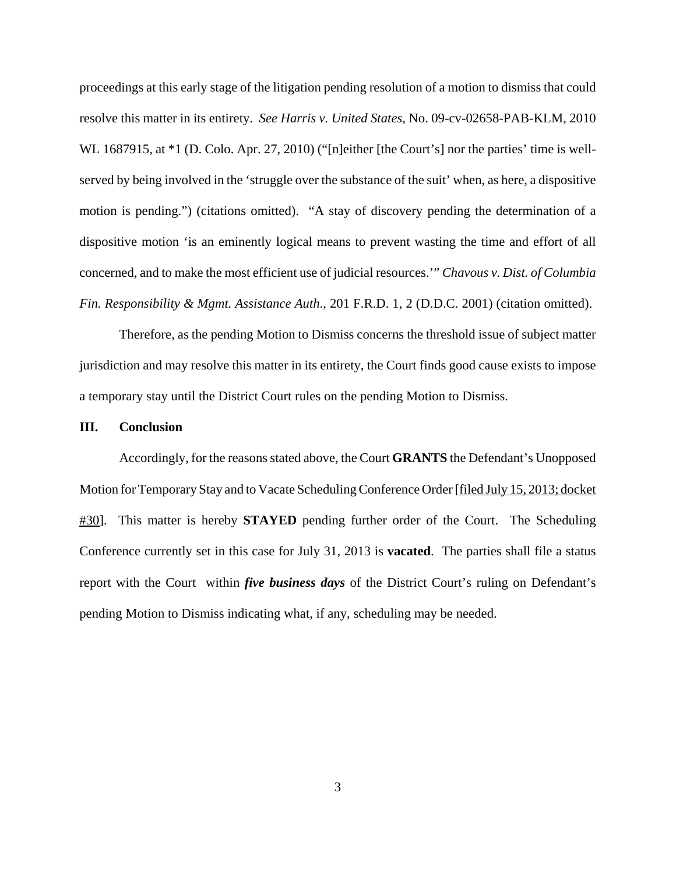proceedings at this early stage of the litigation pending resolution of a motion to dismiss that could resolve this matter in its entirety. *See Harris v. United States*, No. 09-cv-02658-PAB-KLM, 2010 WL 1687915, at  $*1$  (D. Colo. Apr. 27, 2010) ("[n]either [the Court's] nor the parties' time is wellserved by being involved in the 'struggle over the substance of the suit' when, as here, a dispositive motion is pending.") (citations omitted). "A stay of discovery pending the determination of a dispositive motion 'is an eminently logical means to prevent wasting the time and effort of all concerned, and to make the most efficient use of judicial resources.'" *Chavous v. Dist. of Columbia Fin. Responsibility & Mgmt. Assistance Auth*., 201 F.R.D. 1, 2 (D.D.C. 2001) (citation omitted).

Therefore, as the pending Motion to Dismiss concerns the threshold issue of subject matter jurisdiction and may resolve this matter in its entirety, the Court finds good cause exists to impose a temporary stay until the District Court rules on the pending Motion to Dismiss.

## **III. Conclusion**

Accordingly, for the reasons stated above, the Court **GRANTS** the Defendant's Unopposed Motion for Temporary Stay and to Vacate Scheduling Conference Order [filed July 15, 2013; docket #30]. This matter is hereby **STAYED** pending further order of the Court. The Scheduling Conference currently set in this case for July 31, 2013 is **vacated**. The parties shall file a status report with the Court within *five business days* of the District Court's ruling on Defendant's pending Motion to Dismiss indicating what, if any, scheduling may be needed.